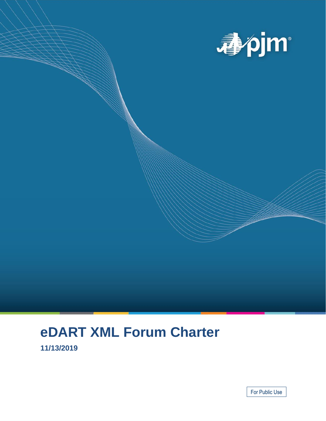

# **eDART XML Forum Charter**

**11/13/2019**

For Public Use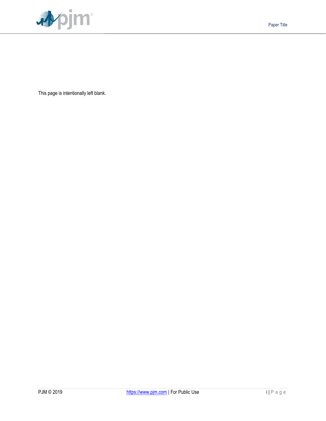

This page is intentionally left blank.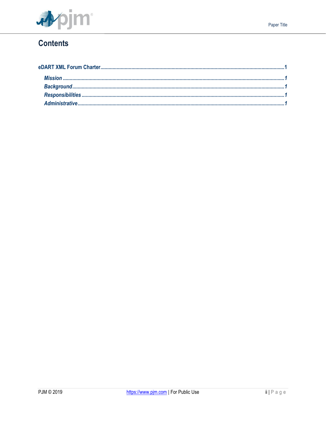

## **Contents**